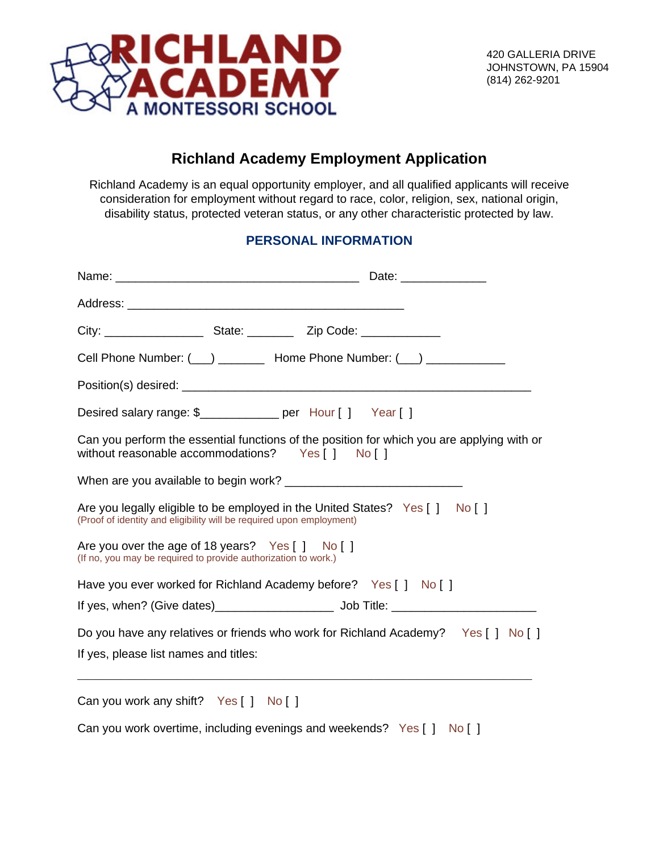

# **Richland Academy Employment Application**

Richland Academy is an equal opportunity employer, and all qualified applicants will receive consideration for employment without regard to race, color, religion, sex, national origin, disability status, protected veteran status, or any other characteristic protected by law.

## **PERSONAL INFORMATION**

| Cell Phone Number: (12) 2002 Home Phone Number: (22) 2008 Mumber: (2009)                                                                             |  |                                                                                            |
|------------------------------------------------------------------------------------------------------------------------------------------------------|--|--------------------------------------------------------------------------------------------|
|                                                                                                                                                      |  |                                                                                            |
| Desired salary range: \$____________ per Hour [] Year []                                                                                             |  |                                                                                            |
| without reasonable accommodations?  Yes [ ] No [ ]                                                                                                   |  | Can you perform the essential functions of the position for which you are applying with or |
|                                                                                                                                                      |  |                                                                                            |
| Are you legally eligible to be employed in the United States? Yes [ ] No [ ]<br>(Proof of identity and eligibility will be required upon employment) |  |                                                                                            |
| Are you over the age of 18 years? Yes [ ] No [ ]<br>(If no, you may be required to provide authorization to work.)                                   |  |                                                                                            |
| Have you ever worked for Richland Academy before? Yes [ ] No [ ]                                                                                     |  |                                                                                            |
|                                                                                                                                                      |  |                                                                                            |
|                                                                                                                                                      |  | Do you have any relatives or friends who work for Richland Academy? Yes [ ] No [ ]         |
| If yes, please list names and titles:                                                                                                                |  |                                                                                            |
| Can you work any shift? Yes [ ] No [ ]                                                                                                               |  |                                                                                            |

Can you work overtime, including evenings and weekends? Yes [ ] No [ ]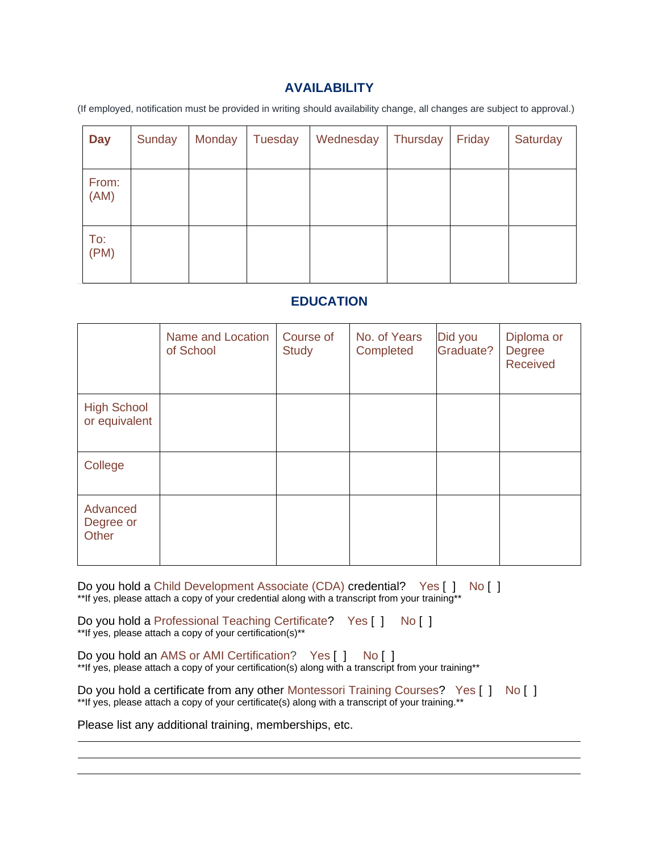### **AVAILABILITY**

(If employed, notification must be provided in writing should availability change, all changes are subject to approval.)

| <b>Day</b>    | Sunday | Monday | Tuesday | Wednesday | Thursday | Friday | Saturday |
|---------------|--------|--------|---------|-----------|----------|--------|----------|
| From:<br>(AM) |        |        |         |           |          |        |          |
| To:<br>(PM)   |        |        |         |           |          |        |          |

### **EDUCATION**

|                                     | Name and Location<br>of School | Course of<br><b>Study</b> | No. of Years<br>Completed | Did you<br>Graduate? | Diploma or<br><b>Degree</b><br>Received |
|-------------------------------------|--------------------------------|---------------------------|---------------------------|----------------------|-----------------------------------------|
| <b>High School</b><br>or equivalent |                                |                           |                           |                      |                                         |
| College                             |                                |                           |                           |                      |                                         |
| Advanced<br>Degree or<br>Other      |                                |                           |                           |                      |                                         |

Do you hold a Child Development Associate (CDA) credential? Yes [ ] No [ ] \*\*If yes, please attach a copy of your credential along with a transcript from your training\*\*

Do you hold a Professional Teaching Certificate? Yes [ ] No [ ] \*\*If yes, please attach a copy of your certification(s)\*\*

Do you hold an AMS or AMI Certification? Yes [ ] No [ ] \*\*If yes, please attach a copy of your certification(s) along with a transcript from your training\*\*

Do you hold a certificate from any other Montessori Training Courses? Yes [ ] No [ ] \*\*If yes, please attach a copy of your certificate(s) along with a transcript of your training.\*\*

Please list any additional training, memberships, etc.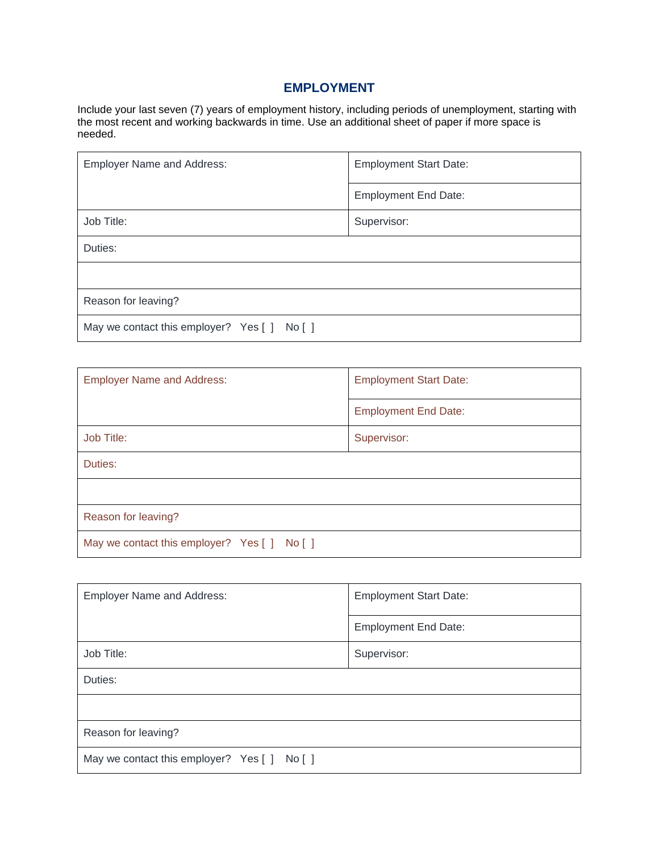## **EMPLOYMENT**

Include your last seven (7) years of employment history, including periods of unemployment, starting with the most recent and working backwards in time. Use an additional sheet of paper if more space is needed.

| <b>Employer Name and Address:</b>            | <b>Employment Start Date:</b> |
|----------------------------------------------|-------------------------------|
|                                              | <b>Employment End Date:</b>   |
| Job Title:                                   | Supervisor:                   |
| Duties:                                      |                               |
|                                              |                               |
| Reason for leaving?                          |                               |
| May we contact this employer? Yes [ ] No [ ] |                               |

| <b>Employer Name and Address:</b>            | <b>Employment Start Date:</b> |  |
|----------------------------------------------|-------------------------------|--|
|                                              | <b>Employment End Date:</b>   |  |
| Job Title:                                   | Supervisor:                   |  |
| Duties:                                      |                               |  |
|                                              |                               |  |
| Reason for leaving?                          |                               |  |
| May we contact this employer? Yes [ ] No [ ] |                               |  |

| <b>Employer Name and Address:</b>            | <b>Employment Start Date:</b> |  |
|----------------------------------------------|-------------------------------|--|
|                                              | <b>Employment End Date:</b>   |  |
| Job Title:                                   | Supervisor:                   |  |
| Duties:                                      |                               |  |
|                                              |                               |  |
| Reason for leaving?                          |                               |  |
| May we contact this employer? Yes [ ] No [ ] |                               |  |